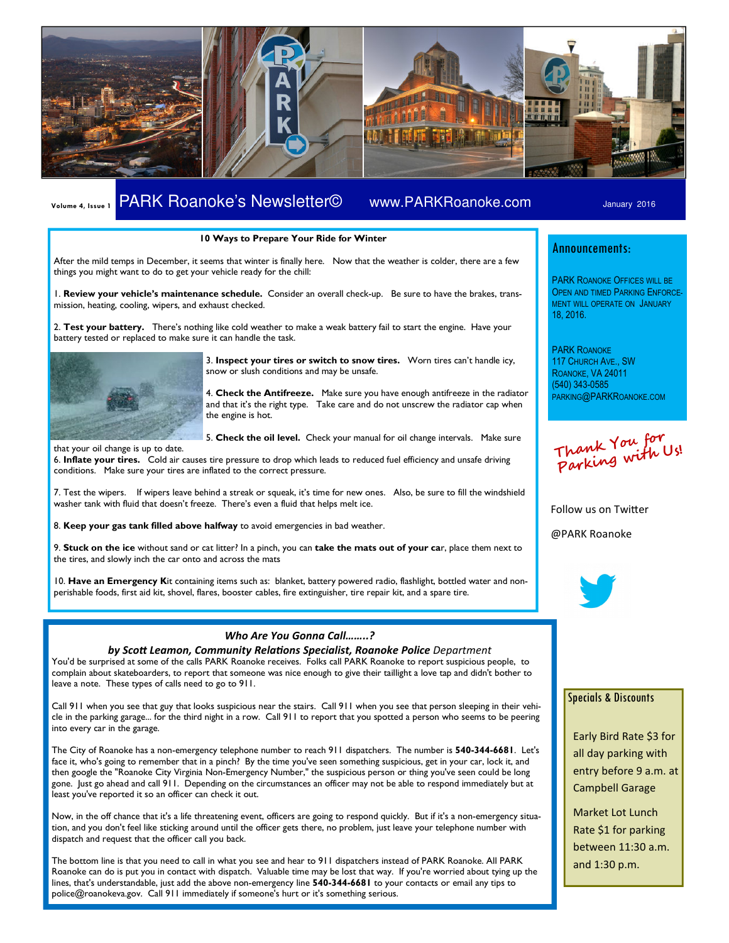

# Volume 4, Issue 1 PARK Roanoke's Newsletter© www.PARKRoanoke.com January 2016

### 10 Ways to Prepare Your Ride for Winter

After the mild temps in December, it seems that winter is finally here. Now that the weather is colder, there are a few things you might want to do to get your vehicle ready for the chill:

1. Review your vehicle's maintenance schedule. Consider an overall check-up. Be sure to have the brakes, transmission, heating, cooling, wipers, and exhaust checked.

2. Test your battery. There's nothing like cold weather to make a weak battery fail to start the engine. Have your battery tested or replaced to make sure it can handle the task.



3. Inspect your tires or switch to snow tires. Worn tires can't handle icy, snow or slush conditions and may be unsafe.

4. Check the Antifreeze. Make sure you have enough antifreeze in the radiator and that it's the right type. Take care and do not unscrew the radiator cap when the engine is hot.

5. Check the oil level. Check your manual for oil change intervals. Make sure

that your oil change is up to date. 6. Inflate your tires. Cold air causes tire pressure to drop which leads to reduced fuel efficiency and unsafe driving conditions. Make sure your tires are inflated to the correct pressure.

7. Test the wipers. If wipers leave behind a streak or squeak, it's time for new ones. Also, be sure to fill the windshield washer tank with fluid that doesn't freeze. There's even a fluid that helps melt ice.

8. Keep your gas tank filled above halfway to avoid emergencies in bad weather.

9. Stuck on the ice without sand or cat litter? In a pinch, you can take the mats out of your car, place them next to the tires, and slowly inch the car onto and across the mats

10. Have an Emergency Kit containing items such as: blanket, battery powered radio, flashlight, bottled water and nonperishable foods, first aid kit, shovel, flares, booster cables, fire extinguisher, tire repair kit, and a spare tire.

## Who Are You Gonna Call……..?

by Scott Leamon, Community Relations Specialist, Roanoke Police Department You'd be surprised at some of the calls PARK Roanoke receives. Folks call PARK Roanoke to report suspicious people, to complain about skateboarders, to report that someone was nice enough to give their taillight a love tap and didn't bother to leave a note. These types of calls need to go to 911.

Call 911 when you see that guy that looks suspicious near the stairs. Call 911 when you see that person sleeping in their vehicle in the parking garage... for the third night in a row. Call 911 to report that you spotted a person who seems to be peering into every car in the garage.

The City of Roanoke has a non-emergency telephone number to reach 911 dispatchers. The number is 540-344-6681. Let's face it, who's going to remember that in a pinch? By the time you've seen something suspicious, get in your car, lock it, and then google the "Roanoke City Virginia Non-Emergency Number," the suspicious person or thing you've seen could be long gone. Just go ahead and call 911. Depending on the circumstances an officer may not be able to respond immediately but at least you've reported it so an officer can check it out.

Now, in the off chance that it's a life threatening event, officers are going to respond quickly. But if it's a non-emergency situation, and you don't feel like sticking around until the officer gets there, no problem, just leave your telephone number with dispatch and request that the officer call you back.

The bottom line is that you need to call in what you see and hear to 911 dispatchers instead of PARK Roanoke. All PARK Roanoke can do is put you in contact with dispatch. Valuable time may be lost that way. If you're worried about tying up the lines, that's understandable, just add the above non-emergency line 540-344-6681 to your contacts or email any tips to police@roanokeva.gov. Call 911 immediately if someone's hurt or it's something serious.

## Announcements:

PARK ROANOKE OFFICES WILL BE OPEN AND TIMED PARKING ENFORCE-MENT WILL OPERATE ON JANUARY 18, 2016.

PARK ROANOKE 117 CHURCH AVE., SW ROANOKE, VA 24011 (540) 343-0585 PARKING@PARKROANOKE.COM

Thank You for Parking with Us!

Follow us on Twitter

@PARK Roanoke



### Specials & Discounts

Early Bird Rate \$3 for all day parking with entry before 9 a.m. at Campbell Garage

Market Lot Lunch Rate \$1 for parking between 11:30 a.m. and 1:30 p.m.